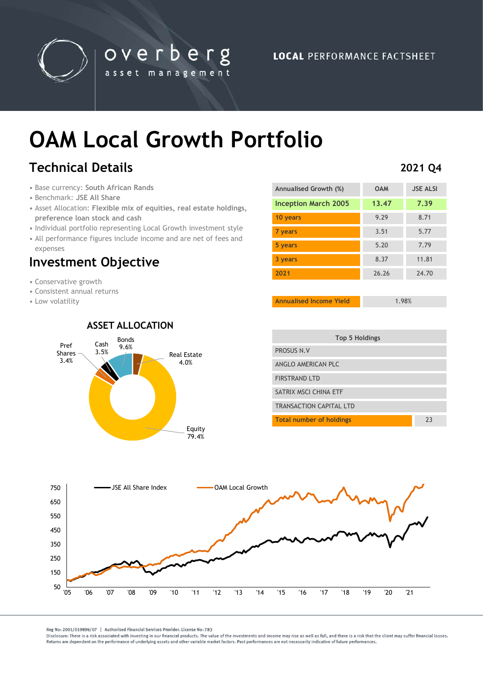

## OAM Local Growth Portfolio

overberg

asset management

## Technical Details

- Base currency: South African Rands
- Benchmark: JSE All Share
- Asset Allocation: Flexible mix of equities, real estate holdings, preference loan stock and cash
- Individual portfolio representing Local Growth investment style
- All performance figures include income and are net of fees and expenses

# expenses<br>Investment Objective

- Conservative growth
- Consistent annual returns
- Low volatility

#### ASSET ALLOCATION



### Annualised Growth (%) OAM JSE ALSI Inception March 2005 13.47 7.39 10 years 8.71 **7 years 5.77 5 years 5.20 7.79 3 years 8.37 11.81 2021** 26.26 24.70

Annualised Income Yield 1.98%

| ıl Estate<br>4.0% | <b>Top 5 Holdings</b>           |    |
|-------------------|---------------------------------|----|
|                   | PROSUS N.V                      |    |
|                   | ANGLO AMERICAN PLC              |    |
|                   | <b>FIRSTRAND LTD</b>            |    |
|                   | SATRIX MSCI CHINA ETF           |    |
|                   | <b>TRANSACTION CAPITAL LTD</b>  |    |
|                   | <b>Total number of holdings</b> | 23 |



#### 2021 Q4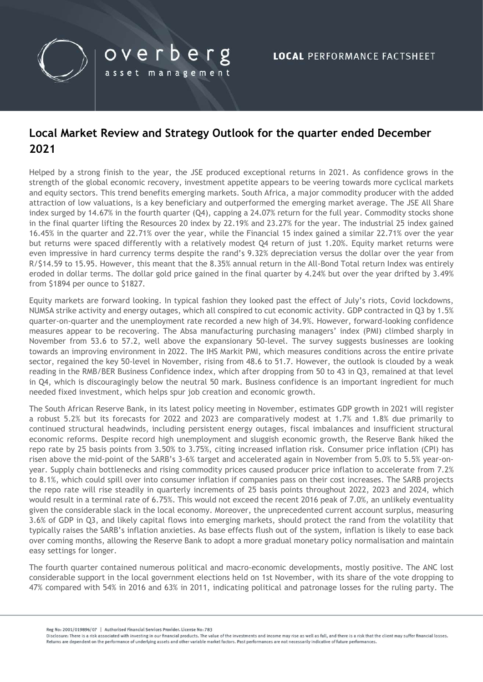

### Local Market Review and Strategy Outlook for the quarter ended December 2021

overberg

asset management

Helped by a strong finish to the year, the JSE produced exceptional returns in 2021. As confidence grows in the strength of the global economic recovery, investment appetite appears to be veering towards more cyclical markets and equity sectors. This trend benefits emerging markets. South Africa, a major commodity producer with the added attraction of low valuations, is a key beneficiary and outperformed the emerging market average. The JSE All Share index surged by 14.67% in the fourth quarter (Q4), capping a 24.07% return for the full year. Commodity stocks shone in the final quarter lifting the Resources 20 index by 22.19% and 23.27% for the year. The industrial 25 index gained 16.45% in the quarter and 22.71% over the year, while the Financial 15 index gained a similar 22.71% over the year but returns were spaced differently with a relatively modest Q4 return of just 1.20%. Equity market returns were even impressive in hard currency terms despite the rand's 9.32% depreciation versus the dollar over the year from R/\$14.59 to 15.95. However, this meant that the 8.35% annual return in the All-Bond Total return Index was entirely eroded in dollar terms. The dollar gold price gained in the final quarter by 4.24% but over the year drifted by 3.49% from \$1894 per ounce to \$1827.

Equity markets are forward looking. In typical fashion they looked past the effect of July's riots, Covid lockdowns, NUMSA strike activity and energy outages, which all conspired to cut economic activity. GDP contracted in Q3 by 1.5% quarter-on-quarter and the unemployment rate recorded a new high of 34.9%. However, forward-looking confidence measures appear to be recovering. The Absa manufacturing purchasing managers' index (PMI) climbed sharply in November from 53.6 to 57.2, well above the expansionary 50-level. The survey suggests businesses are looking towards an improving environment in 2022. The IHS Markit PMI, which measures conditions across the entire private sector, regained the key 50-level in November, rising from 48.6 to 51.7. However, the outlook is clouded by a weak reading in the RMB/BER Business Confidence index, which after dropping from 50 to 43 in Q3, remained at that level in Q4, which is discouragingly below the neutral 50 mark. Business confidence is an important ingredient for much needed fixed investment, which helps spur job creation and economic growth.

The South African Reserve Bank, in its latest policy meeting in November, estimates GDP growth in 2021 will register a robust 5.2% but its forecasts for 2022 and 2023 are comparatively modest at 1.7% and 1.8% due primarily to continued structural headwinds, including persistent energy outages, fiscal imbalances and insufficient structural economic reforms. Despite record high unemployment and sluggish economic growth, the Reserve Bank hiked the repo rate by 25 basis points from 3.50% to 3.75%, citing increased inflation risk. Consumer price inflation (CPI) has risen above the mid-point of the SARB's 3-6% target and accelerated again in November from 5.0% to 5.5% year-onyear. Supply chain bottlenecks and rising commodity prices caused producer price inflation to accelerate from 7.2% to 8.1%, which could spill over into consumer inflation if companies pass on their cost increases. The SARB projects the repo rate will rise steadily in quarterly increments of 25 basis points throughout 2022, 2023 and 2024, which would result in a terminal rate of 6.75%. This would not exceed the recent 2016 peak of 7.0%, an unlikely eventuality given the considerable slack in the local economy. Moreover, the unprecedented current account surplus, measuring 3.6% of GDP in Q3, and likely capital flows into emerging markets, should protect the rand from the volatility that typically raises the SARB's inflation anxieties. As base effects flush out of the system, inflation is likely to ease back over coming months, allowing the Reserve Bank to adopt a more gradual monetary policy normalisation and maintain easy settings for longer.

The fourth quarter contained numerous political and macro-economic developments, mostly positive. The ANC lost considerable support in the local government elections held on 1st November, with its share of the vote dropping to 47% compared with 54% in 2016 and 63% in 2011, indicating political and patronage losses for the ruling party. The

Reg No: 2001/019896/07 | Authorised Financial Services Provider. License No: 783

Disclosure: There is a risk associated with investing in our financial products. The value of the investments and income may rise as well as fall, and there is a risk that the client may suffer financial losses. Beturns are dependent on the performance of underlying assets and other variable market factors. Past performances are not necessarily indicative of future performances.